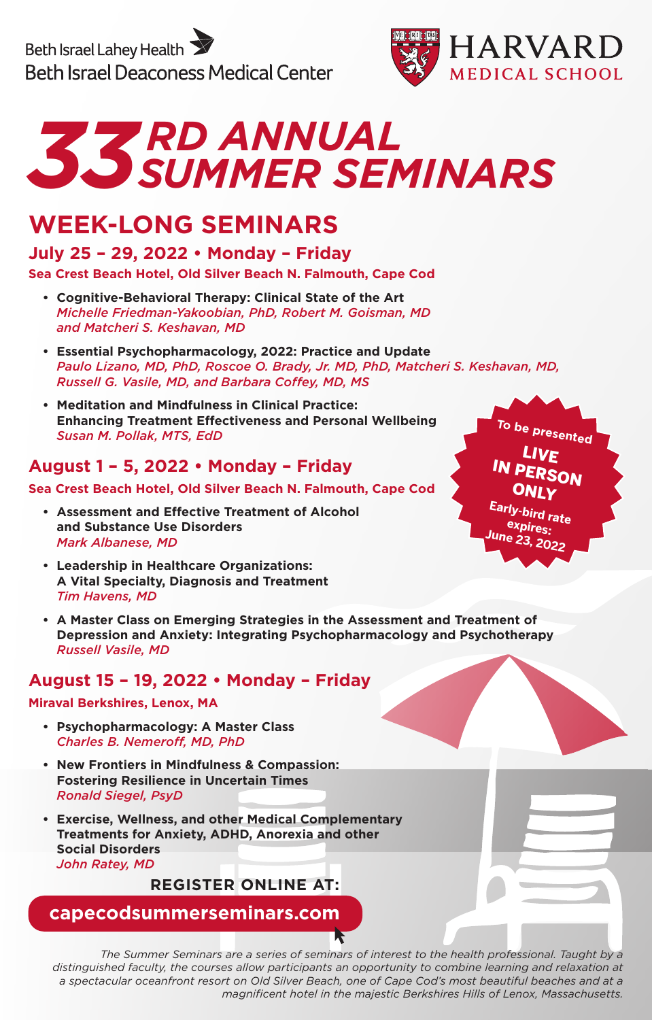Beth Israel Lahey Health **Beth Israel Deaconess Medical Center** 





### **WEEK-LONG SEMINARS**

### **July 25 – 29, 2022 • Monday – Friday**

### **Sea Crest Beach Hotel, Old Silver Beach N. Falmouth, Cape Cod**

- **• Cognitive-Behavioral Therapy: Clinical State of the Art** *Michelle Friedman-Yakoobian, PhD, Robert M. Goisman, MD and Matcheri S. Keshavan, MD*
- **• Essential Psychopharmacology, 2022: Practice and Update** *Paulo Lizano, MD, PhD, Roscoe O. Brady, Jr. MD, PhD, Matcheri S. Keshavan, MD, Russell G. Vasile, MD, and Barbara Coffey, MD, MS*
- **• Meditation and Mindfulness in Clinical Practice: Enhancing Treatment Effectiveness and Personal Wellbeing** *Susan M. Pollak, MTS, EdD*

### **August 1 – 5, 2022 • Monday – Friday**

**Sea Crest Beach Hotel, Old Silver Beach N. Falmouth, Cape Cod**

- **• Assessment and Effective Treatment of Alcohol and Substance Use Disorders**  *Mark Albanese, MD*
- **• Leadership in Healthcare Organizations: A Vital Specialty, Diagnosis and Treatment** *Tim Havens, MD*
- **• A Master Class on Emerging Strategies in the Assessment and Treatment of Depression and Anxiety: Integrating Psychopharmacology and Psychotherapy** *Russell Vasile, MD*

### **August 15 – 19, 2022 • Monday – Friday**

### **Miraval Berkshires, Lenox, MA**

- **• Psychopharmacology: A Master Class**  *Charles B. Nemeroff, MD, PhD*
- **• New Frontiers in Mindfulness & Compassion: Fostering Resilience in Uncertain Times**  *Ronald Siegel, PsyD*
- **• Exercise, Wellness, and other Medical Complementary Treatments for Anxiety, ADHD, Anorexia and other Social Disorders** *John Ratey, MD*

**REGISTER ONLINE AT:**

**capecodsummerseminars.com**

*The Summer Seminars are a series of seminars of interest to the health professional. Taught by a distinguished faculty, the courses allow participants an opportunity to combine learning and relaxation at a spectacular oceanfront resort on Old Silver Beach, one of Cape Cod's most beautiful beaches and at a magnificent hotel in the majestic Berkshires Hills of Lenox, Massachusetts.*

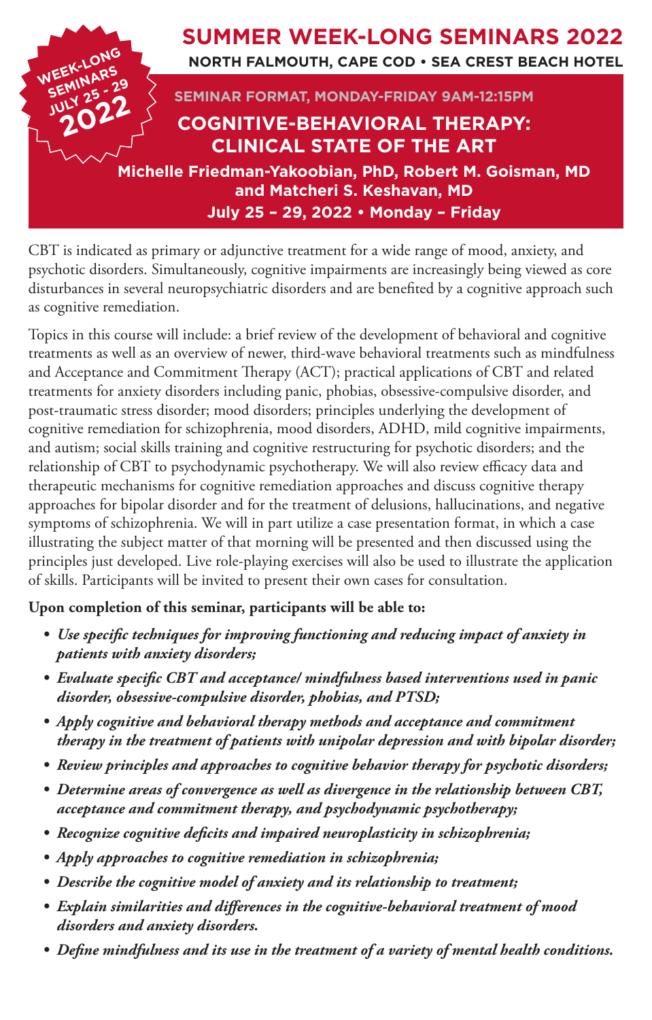

CBT is indicated as primary or adjunctive treatment for a wide range of mood, anxiety, and psychotic disorders. Simultaneously, cognitive impairments are increasingly being viewed as core disturbances in several neuropsychiatric disorders and are benefited by a cognitive approach such as cognitive remediation.

Topics in this course will include: a brief review of the development of behavioral and cognitive treatments as well as an overview of newer, third-wave behavioral treatments such as mindfulness and Acceptance and Commitment Therapy (ACT); practical applications of CBT and related treatments for anxiety disorders including panic, phobias, obsessive-compulsive disorder, and post-traumatic stress disorder; mood disorders; principles underlying the development of cognitive remediation for schizophrenia, mood disorders, ADHD, mild cognitive impairments, and autism; social skills training and cognitive restructuring for psychotic disorders; and the relationship of CBT to psychodynamic psychotherapy. We will also review efficacy data and therapeutic mechanisms for cognitive remediation approaches and discuss cognitive therapy approaches for bipolar disorder and for the treatment of delusions, hallucinations, and negative symptoms of schizophrenia. We will in part utilize a case presentation format, in which a case illustrating the subject matter of that morning will be presented and then discussed using the principles just developed. Live role-playing exercises will also be used to illustrate the application of skills. Participants will be invited to present their own cases for consultation.

### **Upon completion of this seminar, participants will be able to:**

- *• Use specific techniques for improving functioning and reducing impact of anxiety in patients with anxiety disorders;*
- *• Evaluate specific CBT and acceptance/ mindfulness based interventions used in panic disorder, obsessive-compulsive disorder, phobias, and PTSD;*
- *• Apply cognitive and behavioral therapy methods and acceptance and commitment therapy in the treatment of patients with unipolar depression and with bipolar disorder;*
- *• Review principles and approaches to cognitive behavior therapy for psychotic disorders;*
- *• Determine areas of convergence as well as divergence in the relationship between CBT, acceptance and commitment therapy, and psychodynamic psychotherapy;*
- *• Recognize cognitive deficits and impaired neuroplasticity in schizophrenia;*
- *• Apply approaches to cognitive remediation in schizophrenia;*
- *• Describe the cognitive model of anxiety and its relationship to treatment;*
- *• Explain similarities and differences in the cognitive-behavioral treatment of mood disorders and anxiety disorders.*
- *• Define mindfulness and its use in the treatment of a variety of mental health conditions.*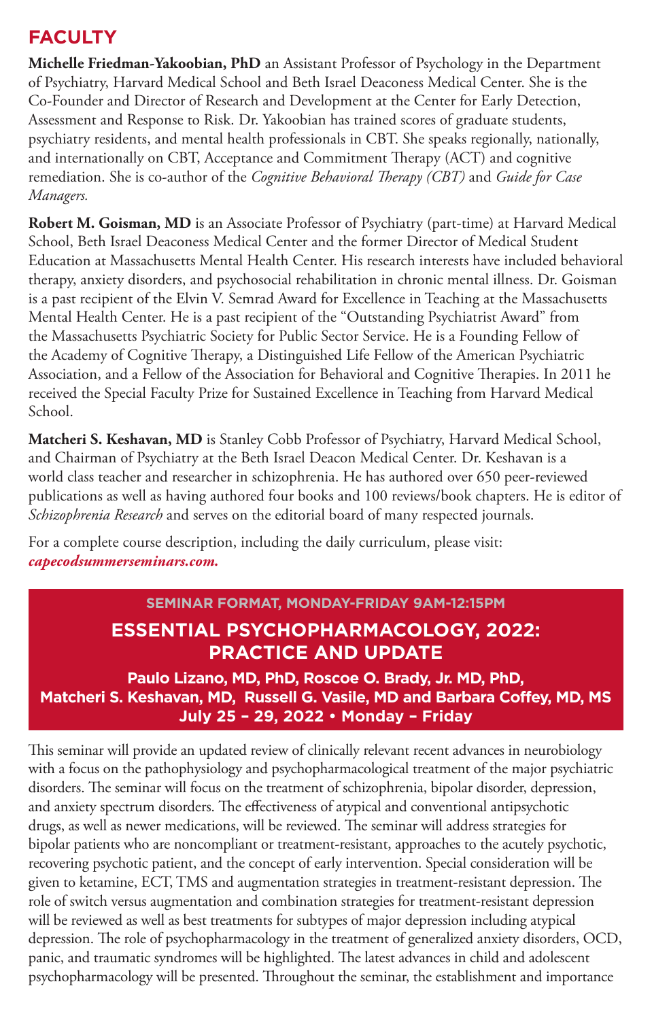### **FACULTY**

**Michelle Friedman-Yakoobian, PhD** an Assistant Professor of Psychology in the Department of Psychiatry, Harvard Medical School and Beth Israel Deaconess Medical Center. She is the Co-Founder and Director of Research and Development at the Center for Early Detection, Assessment and Response to Risk. Dr. Yakoobian has trained scores of graduate students, psychiatry residents, and mental health professionals in CBT. She speaks regionally, nationally, and internationally on CBT, Acceptance and Commitment Therapy (ACT) and cognitive remediation. She is co-author of the *Cognitive Behavioral Therapy (CBT)* and *Guide for Case Managers.*

Robert M. Goisman, MD is an Associate Professor of Psychiatry (part-time) at Harvard Medical School, Beth Israel Deaconess Medical Center and the former Director of Medical Student Education at Massachusetts Mental Health Center. His research interests have included behavioral therapy, anxiety disorders, and psychosocial rehabilitation in chronic mental illness. Dr. Goisman is a past recipient of the Elvin V. Semrad Award for Excellence in Teaching at the Massachusetts Mental Health Center. He is a past recipient of the "Outstanding Psychiatrist Award" from the Massachusetts Psychiatric Society for Public Sector Service. He is a Founding Fellow of the Academy of Cognitive Therapy, a Distinguished Life Fellow of the American Psychiatric Association, and a Fellow of the Association for Behavioral and Cognitive Therapies. In 2011 he received the Special Faculty Prize for Sustained Excellence in Teaching from Harvard Medical School.

**Matcheri S. Keshavan, MD** is Stanley Cobb Professor of Psychiatry, Harvard Medical School, and Chairman of Psychiatry at the Beth Israel Deacon Medical Center. Dr. Keshavan is a world class teacher and researcher in schizophrenia. He has authored over 650 peer-reviewed publications as well as having authored four books and 100 reviews/book chapters. He is editor of *Schizophrenia Research* and serves on the editorial board of many respected journals.

For a complete course description, including the daily curriculum, please visit: *capecodsummerseminars.com.*

### **SEMINAR FORMAT, MONDAY-FRIDAY 9AM-12:15PM ESSENTIAL PSYCHOPHARMACOLOGY, 2022: PRACTICE AND UPDATE**

**Paulo Lizano, MD, PhD, Roscoe O. Brady, Jr. MD, PhD, Matcheri S. Keshavan, MD, Russell G. Vasile, MD and Barbara Coffey, MD, MS July 25 – 29, 2022 • Monday – Friday**

This seminar will provide an updated review of clinically relevant recent advances in neurobiology with a focus on the pathophysiology and psychopharmacological treatment of the major psychiatric disorders. The seminar will focus on the treatment of schizophrenia, bipolar disorder, depression, and anxiety spectrum disorders. The effectiveness of atypical and conventional antipsychotic drugs, as well as newer medications, will be reviewed. The seminar will address strategies for bipolar patients who are noncompliant or treatment-resistant, approaches to the acutely psychotic, recovering psychotic patient, and the concept of early intervention. Special consideration will be given to ketamine, ECT, TMS and augmentation strategies in treatment-resistant depression. The role of switch versus augmentation and combination strategies for treatment-resistant depression will be reviewed as well as best treatments for subtypes of major depression including atypical depression. The role of psychopharmacology in the treatment of generalized anxiety disorders, OCD, panic, and traumatic syndromes will be highlighted. The latest advances in child and adolescent psychopharmacology will be presented. Throughout the seminar, the establishment and importance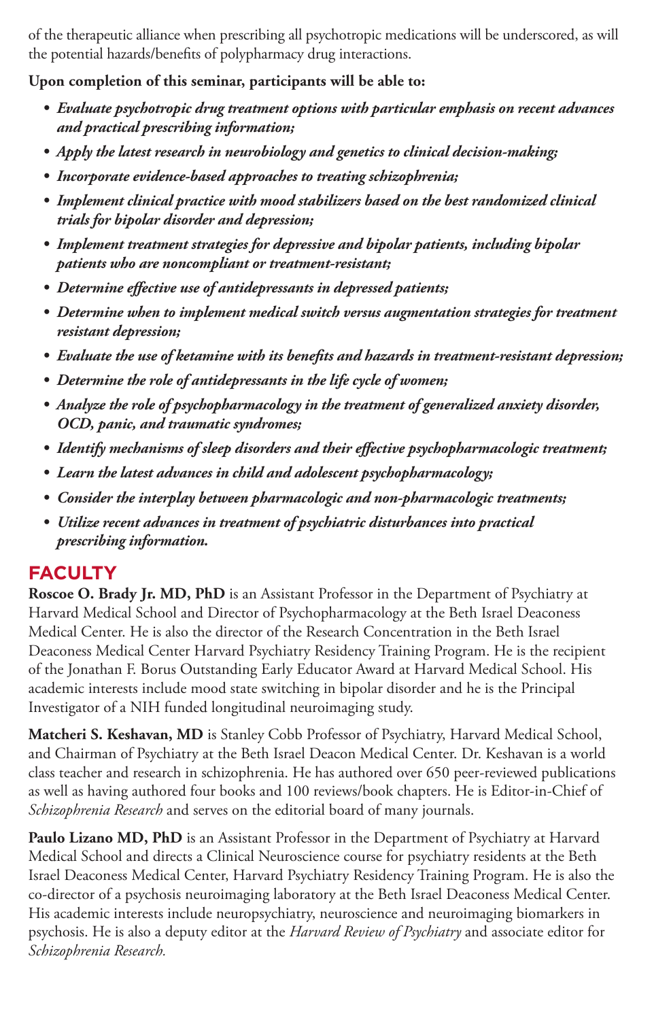of the therapeutic alliance when prescribing all psychotropic medications will be underscored, as will the potential hazards/benefits of polypharmacy drug interactions.

**Upon completion of this seminar, participants will be able to:**

- *• Evaluate psychotropic drug treatment options with particular emphasis on recent advances and practical prescribing information;*
- *• Apply the latest research in neurobiology and genetics to clinical decision-making;*
- *• Incorporate evidence-based approaches to treating schizophrenia;*
- *• Implement clinical practice with mood stabilizers based on the best randomized clinical trials for bipolar disorder and depression;*
- *• Implement treatment strategies for depressive and bipolar patients, including bipolar patients who are noncompliant or treatment-resistant;*
- *• Determine effective use of antidepressants in depressed patients;*
- Determine when to implement medical switch versus augmentation strategies for treatment *resistant depression;*
- *• Evaluate the use of ketamine with its benefits and hazards in treatment-resistant depression;*
- *• Determine the role of antidepressants in the life cycle of women;*
- *• Analyze the role of psychopharmacology in the treatment of generalized anxiety disorder, OCD, panic, and traumatic syndromes;*
- *• Identify mechanisms of sleep disorders and their effective psychopharmacologic treatment;*
- *• Learn the latest advances in child and adolescent psychopharmacology;*
- *• Consider the interplay between pharmacologic and non-pharmacologic treatments;*
- *• Utilize recent advances in treatment of psychiatric disturbances into practical prescribing information.*

### **FACULTY**

**Roscoe O. Brady Jr. MD, PhD** is an Assistant Professor in the Department of Psychiatry at Harvard Medical School and Director of Psychopharmacology at the Beth Israel Deaconess Medical Center. He is also the director of the Research Concentration in the Beth Israel Deaconess Medical Center Harvard Psychiatry Residency Training Program. He is the recipient of the Jonathan F. Borus Outstanding Early Educator Award at Harvard Medical School. His academic interests include mood state switching in bipolar disorder and he is the Principal Investigator of a NIH funded longitudinal neuroimaging study.

**Matcheri S. Keshavan, MD** is Stanley Cobb Professor of Psychiatry, Harvard Medical School, and Chairman of Psychiatry at the Beth Israel Deacon Medical Center. Dr. Keshavan is a world class teacher and research in schizophrenia. He has authored over 650 peer-reviewed publications as well as having authored four books and 100 reviews/book chapters. He is Editor-in-Chief of *Schizophrenia Research* and serves on the editorial board of many journals.

Paulo Lizano MD, PhD is an Assistant Professor in the Department of Psychiatry at Harvard Medical School and directs a Clinical Neuroscience course for psychiatry residents at the Beth Israel Deaconess Medical Center, Harvard Psychiatry Residency Training Program. He is also the co-director of a psychosis neuroimaging laboratory at the Beth Israel Deaconess Medical Center. His academic interests include neuropsychiatry, neuroscience and neuroimaging biomarkers in psychosis. He is also a deputy editor at the *Harvard Review of Psychiatry* and associate editor for *Schizophrenia Research.*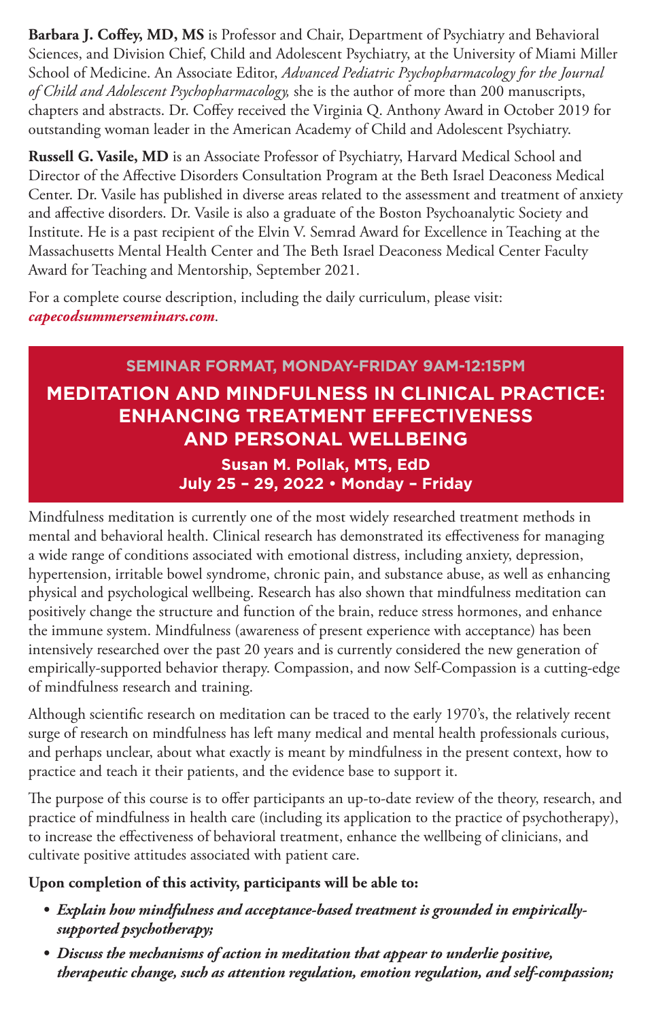**Barbara J. Coffey, MD, MS** is Professor and Chair, Department of Psychiatry and Behavioral Sciences, and Division Chief, Child and Adolescent Psychiatry, at the University of Miami Miller School of Medicine. An Associate Editor, *Advanced Pediatric Psychopharmacology for the Journal of Child and Adolescent Psychopharmacology,* she is the author of more than 200 manuscripts, chapters and abstracts. Dr. Coffey received the Virginia Q. Anthony Award in October 2019 for outstanding woman leader in the American Academy of Child and Adolescent Psychiatry.

**Russell G. Vasile, MD** is an Associate Professor of Psychiatry, Harvard Medical School and Director of the Affective Disorders Consultation Program at the Beth Israel Deaconess Medical Center. Dr. Vasile has published in diverse areas related to the assessment and treatment of anxiety and affective disorders. Dr. Vasile is also a graduate of the Boston Psychoanalytic Society and Institute. He is a past recipient of the Elvin V. Semrad Award for Excellence in Teaching at the Massachusetts Mental Health Center and The Beth Israel Deaconess Medical Center Faculty Award for Teaching and Mentorship, September 2021.

For a complete course description, including the daily curriculum, please visit: *capecodsummerseminars.com*.

### **SEMINAR FORMAT, MONDAY-FRIDAY 9AM-12:15PM MEDITATION AND MINDFULNESS IN CLINICAL PRACTICE: ENHANCING TREATMENT EFFECTIVENESS AND PERSONAL WELLBEING Susan M. Pollak, MTS, EdD July 25 – 29, 2022 • Monday – Friday**

Mindfulness meditation is currently one of the most widely researched treatment methods in mental and behavioral health. Clinical research has demonstrated its effectiveness for managing a wide range of conditions associated with emotional distress, including anxiety, depression, hypertension, irritable bowel syndrome, chronic pain, and substance abuse, as well as enhancing physical and psychological wellbeing. Research has also shown that mindfulness meditation can positively change the structure and function of the brain, reduce stress hormones, and enhance the immune system. Mindfulness (awareness of present experience with acceptance) has been intensively researched over the past 20 years and is currently considered the new generation of empirically-supported behavior therapy. Compassion, and now Self-Compassion is a cutting-edge of mindfulness research and training.

Although scientific research on meditation can be traced to the early 1970's, the relatively recent surge of research on mindfulness has left many medical and mental health professionals curious, and perhaps unclear, about what exactly is meant by mindfulness in the present context, how to practice and teach it their patients, and the evidence base to support it.

The purpose of this course is to offer participants an up-to-date review of the theory, research, and practice of mindfulness in health care (including its application to the practice of psychotherapy), to increase the effectiveness of behavioral treatment, enhance the wellbeing of clinicians, and cultivate positive attitudes associated with patient care.

### **Upon completion of this activity, participants will be able to:**

- *• Explain how mindfulness and acceptance-based treatment is grounded in empiricallysupported psychotherapy;*
- *• Discuss the mechanisms of action in meditation that appear to underlie positive, therapeutic change, such as attention regulation, emotion regulation, and self-compassion;*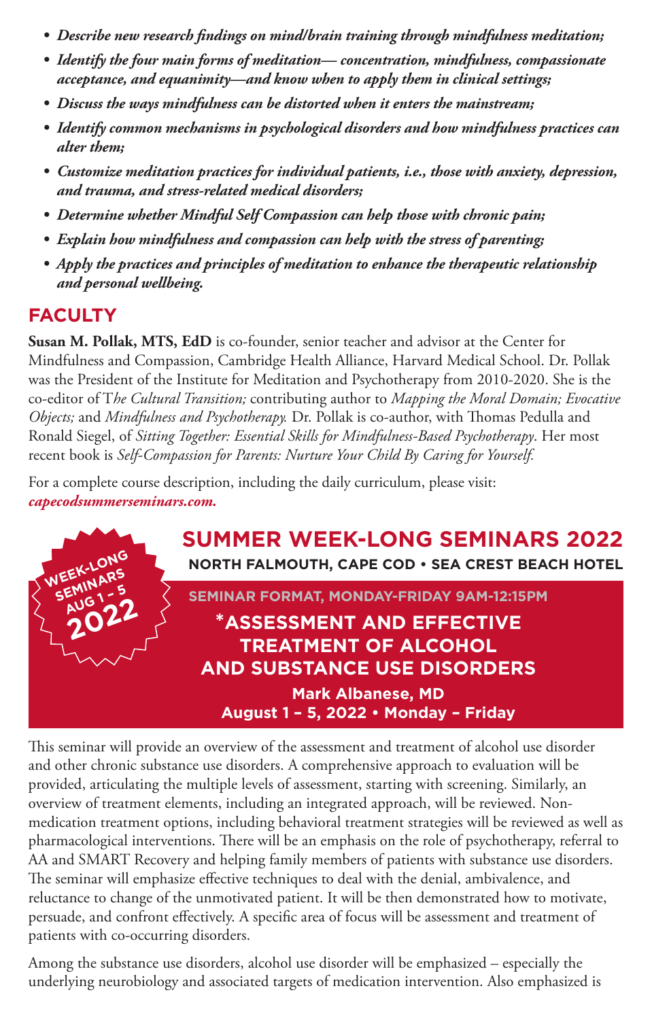- *• Describe new research findings on mind/brain training through mindfulness meditation;*
- *• Identify the four main forms of meditation— concentration, mindfulness, compassionate acceptance, and equanimity—and know when to apply them in clinical settings;*
- *• Discuss the ways mindfulness can be distorted when it enters the mainstream;*
- *• Identify common mechanisms in psychological disorders and how mindfulness practices can alter them;*
- *• Customize meditation practices for individual patients, i.e., those with anxiety, depression, and trauma, and stress-related medical disorders;*
- *• Determine whether Mindful Self Compassion can help those with chronic pain;*
- *• Explain how mindfulness and compassion can help with the stress of parenting;*
- *• Apply the practices and principles of meditation to enhance the therapeutic relationship and personal wellbeing.*

### **FACULTY**

**Susan M. Pollak, MTS, EdD** is co-founder, senior teacher and advisor at the Center for Mindfulness and Compassion, Cambridge Health Alliance, Harvard Medical School. Dr. Pollak was the President of the Institute for Meditation and Psychotherapy from 2010-2020. She is the co-editor of T*he Cultural Transition;* contributing author to *Mapping the Moral Domain; Evocative Objects;* and *Mindfulness and Psychotherapy.* Dr. Pollak is co-author, with Thomas Pedulla and Ronald Siegel, of *Sitting Together: Essential Skills for Mindfulness-Based Psychotherapy*. Her most recent book is *Self-Compassion for Parents: Nurture Your Child By Caring for Yourself.*

For a complete course description, including the daily curriculum, please visit: *capecodsummerseminars.com.*



This seminar will provide an overview of the assessment and treatment of alcohol use disorder and other chronic substance use disorders. A comprehensive approach to evaluation will be provided, articulating the multiple levels of assessment, starting with screening. Similarly, an overview of treatment elements, including an integrated approach, will be reviewed. Nonmedication treatment options, including behavioral treatment strategies will be reviewed as well as pharmacological interventions. There will be an emphasis on the role of psychotherapy, referral to AA and SMART Recovery and helping family members of patients with substance use disorders. The seminar will emphasize effective techniques to deal with the denial, ambivalence, and reluctance to change of the unmotivated patient. It will be then demonstrated how to motivate, persuade, and confront effectively. A specific area of focus will be assessment and treatment of patients with co-occurring disorders.

Among the substance use disorders, alcohol use disorder will be emphasized – especially the underlying neurobiology and associated targets of medication intervention. Also emphasized is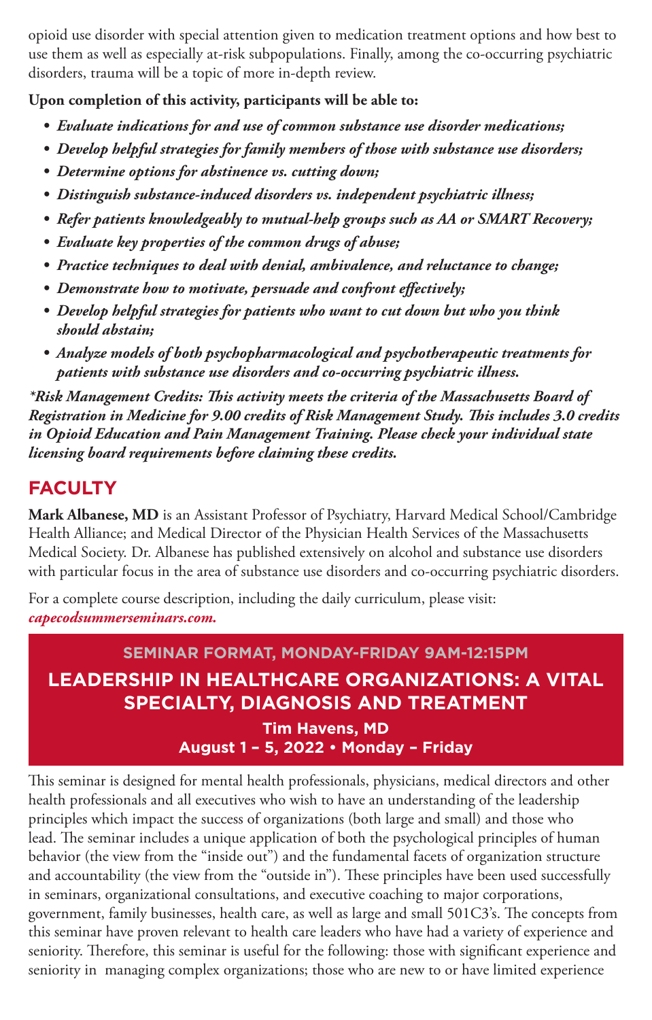opioid use disorder with special attention given to medication treatment options and how best to use them as well as especially at-risk subpopulations. Finally, among the co-occurring psychiatric disorders, trauma will be a topic of more in-depth review.

**Upon completion of this activity, participants will be able to:**

- *• Evaluate indications for and use of common substance use disorder medications;*
- *• Develop helpful strategies for family members of those with substance use disorders;*
- *• Determine options for abstinence vs. cutting down;*
- *• Distinguish substance-induced disorders vs. independent psychiatric illness;*
- *• Refer patients knowledgeably to mutual-help groups such as AA or SMART Recovery;*
- *• Evaluate key properties of the common drugs of abuse;*
- *• Practice techniques to deal with denial, ambivalence, and reluctance to change;*
- *• Demonstrate how to motivate, persuade and confront effectively;*
- *• Develop helpful strategies for patients who want to cut down but who you think should abstain;*
- *• Analyze models of both psychopharmacological and psychotherapeutic treatments for patients with substance use disorders and co-occurring psychiatric illness.*

*\*Risk Management Credits: This activity meets the criteria of the Massachusetts Board of Registration in Medicine for 9.00 credits of Risk Management Study. This includes 3.0 credits in Opioid Education and Pain Management Training. Please check your individual state licensing board requirements before claiming these credits.*

### **FACULTY**

**Mark Albanese, MD** is an Assistant Professor of Psychiatry, Harvard Medical School/Cambridge Health Alliance; and Medical Director of the Physician Health Services of the Massachusetts Medical Society. Dr. Albanese has published extensively on alcohol and substance use disorders with particular focus in the area of substance use disorders and co-occurring psychiatric disorders.

For a complete course description, including the daily curriculum, please visit: *capecodsummerseminars.com.*

### **SEMINAR FORMAT, MONDAY-FRIDAY 9AM-12:15PM LEADERSHIP IN HEALTHCARE ORGANIZATIONS: A VITAL SPECIALTY, DIAGNOSIS AND TREATMENT Tim Havens, MD August 1 – 5, 2022 • Monday – Friday**

This seminar is designed for mental health professionals, physicians, medical directors and other health professionals and all executives who wish to have an understanding of the leadership principles which impact the success of organizations (both large and small) and those who lead. The seminar includes a unique application of both the psychological principles of human behavior (the view from the "inside out") and the fundamental facets of organization structure and accountability (the view from the "outside in"). These principles have been used successfully in seminars, organizational consultations, and executive coaching to major corporations, government, family businesses, health care, as well as large and small 501C3's. The concepts from this seminar have proven relevant to health care leaders who have had a variety of experience and seniority. Therefore, this seminar is useful for the following: those with significant experience and seniority in managing complex organizations; those who are new to or have limited experience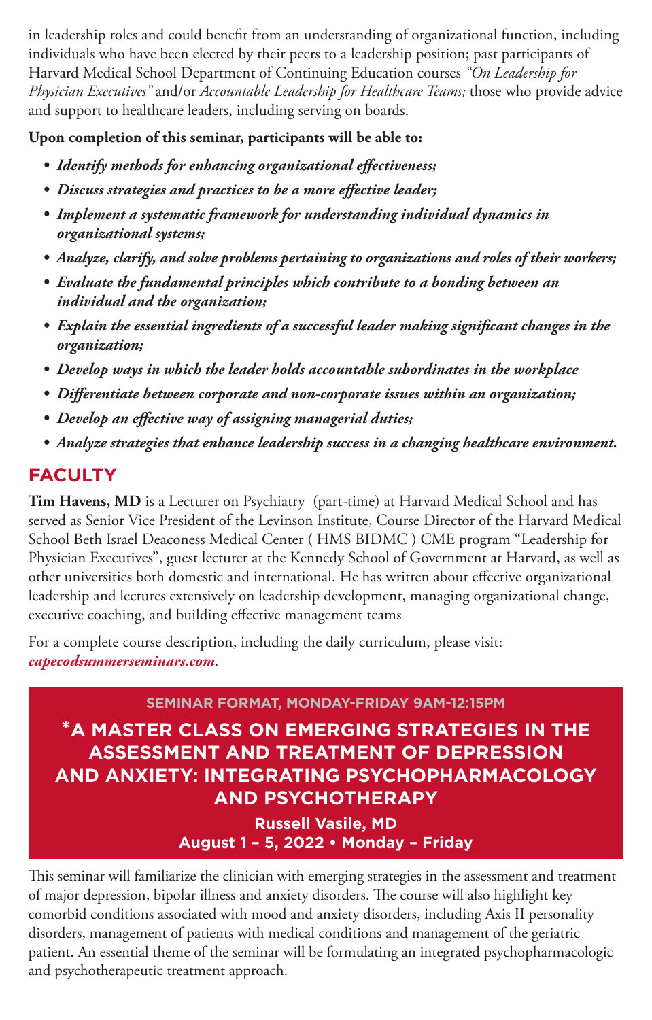in leadership roles and could benefit from an understanding of organizational function, including individuals who have been elected by their peers to a leadership position; past participants of Harvard Medical School Department of Continuing Education courses *"On Leadership for Physician Executives"* and/or *Accountable Leadership for Healthcare Teams;* those who provide advice and support to healthcare leaders, including serving on boards.

### **Upon completion of this seminar, participants will be able to:**

- *• Identify methods for enhancing organizational effectiveness;*
- *• Discuss strategies and practices to be a more effective leader;*
- *• Implement a systematic framework for understanding individual dynamics in organizational systems;*
- *• Analyze, clarify, and solve problems pertaining to organizations and roles of their workers;*
- *• Evaluate the fundamental principles which contribute to a bonding between an individual and the organization;*
- *• Explain the essential ingredients of a successful leader making significant changes in the organization;*
- *• Develop ways in which the leader holds accountable subordinates in the workplace*
- *• Differentiate between corporate and non-corporate issues within an organization;*
- *• Develop an effective way of assigning managerial duties;*
- *• Analyze strategies that enhance leadership success in a changing healthcare environment.*

### **FACULTY**

**Tim Havens, MD** is a Lecturer on Psychiatry (part-time) at Harvard Medical School and has served as Senior Vice President of the Levinson Institute, Course Director of the Harvard Medical School Beth Israel Deaconess Medical Center ( HMS BIDMC ) CME program "Leadership for Physician Executives", guest lecturer at the Kennedy School of Government at Harvard, as well as other universities both domestic and international. He has written about effective organizational leadership and lectures extensively on leadership development, managing organizational change, executive coaching, and building effective management teams

For a complete course description, including the daily curriculum, please visit: *capecodsummerseminars.com*.

### **SEMINAR FORMAT, MONDAY-FRIDAY 9AM-12:15PM**

**\*A MASTER CLASS ON EMERGING STRATEGIES IN THE ASSESSMENT AND TREATMENT OF DEPRESSION AND ANXIETY: INTEGRATING PSYCHOPHARMACOLOGY AND PSYCHOTHERAPY Russell Vasile, MD**

**August 1 – 5, 2022 • Monday – Friday**

This seminar will familiarize the clinician with emerging strategies in the assessment and treatment of major depression, bipolar illness and anxiety disorders. The course will also highlight key comorbid conditions associated with mood and anxiety disorders, including Axis II personality disorders, management of patients with medical conditions and management of the geriatric patient. An essential theme of the seminar will be formulating an integrated psychopharmacologic and psychotherapeutic treatment approach.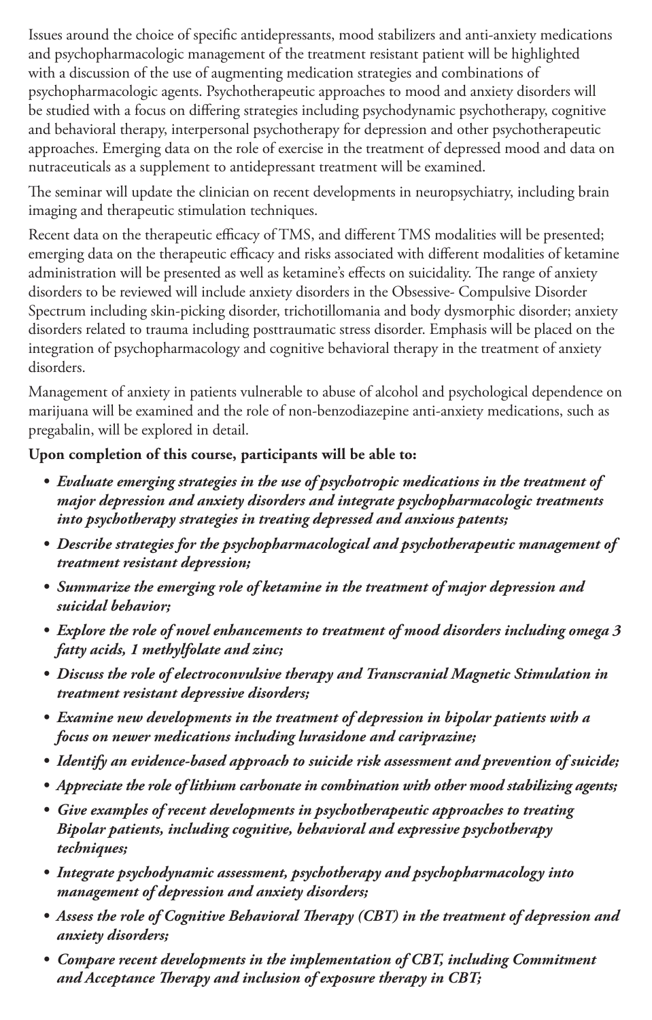Issues around the choice of specific antidepressants, mood stabilizers and anti-anxiety medications and psychopharmacologic management of the treatment resistant patient will be highlighted with a discussion of the use of augmenting medication strategies and combinations of psychopharmacologic agents. Psychotherapeutic approaches to mood and anxiety disorders will be studied with a focus on differing strategies including psychodynamic psychotherapy, cognitive and behavioral therapy, interpersonal psychotherapy for depression and other psychotherapeutic approaches. Emerging data on the role of exercise in the treatment of depressed mood and data on nutraceuticals as a supplement to antidepressant treatment will be examined.

The seminar will update the clinician on recent developments in neuropsychiatry, including brain imaging and therapeutic stimulation techniques.

Recent data on the therapeutic efficacy of TMS, and different TMS modalities will be presented; emerging data on the therapeutic efficacy and risks associated with different modalities of ketamine administration will be presented as well as ketamine's effects on suicidality. The range of anxiety disorders to be reviewed will include anxiety disorders in the Obsessive- Compulsive Disorder Spectrum including skin-picking disorder, trichotillomania and body dysmorphic disorder; anxiety disorders related to trauma including posttraumatic stress disorder. Emphasis will be placed on the integration of psychopharmacology and cognitive behavioral therapy in the treatment of anxiety disorders.

Management of anxiety in patients vulnerable to abuse of alcohol and psychological dependence on marijuana will be examined and the role of non-benzodiazepine anti-anxiety medications, such as pregabalin, will be explored in detail.

### **Upon completion of this course, participants will be able to:**

- *• Evaluate emerging strategies in the use of psychotropic medications in the treatment of major depression and anxiety disorders and integrate psychopharmacologic treatments into psychotherapy strategies in treating depressed and anxious patents;*
- *• Describe strategies for the psychopharmacological and psychotherapeutic management of treatment resistant depression;*
- *• Summarize the emerging role of ketamine in the treatment of major depression and suicidal behavior;*
- *• Explore the role of novel enhancements to treatment of mood disorders including omega 3 fatty acids, 1 methylfolate and zinc;*
- *• Discuss the role of electroconvulsive therapy and Transcranial Magnetic Stimulation in treatment resistant depressive disorders;*
- *• Examine new developments in the treatment of depression in bipolar patients with a focus on newer medications including lurasidone and cariprazine;*
- *• Identify an evidence-based approach to suicide risk assessment and prevention of suicide;*
- *• Appreciate the role of lithium carbonate in combination with other mood stabilizing agents;*
- *• Give examples of recent developments in psychotherapeutic approaches to treating Bipolar patients, including cognitive, behavioral and expressive psychotherapy techniques;*
- *• Integrate psychodynamic assessment, psychotherapy and psychopharmacology into management of depression and anxiety disorders;*
- *• Assess the role of Cognitive Behavioral Therapy (CBT) in the treatment of depression and anxiety disorders;*
- *• Compare recent developments in the implementation of CBT, including Commitment and Acceptance Therapy and inclusion of exposure therapy in CBT;*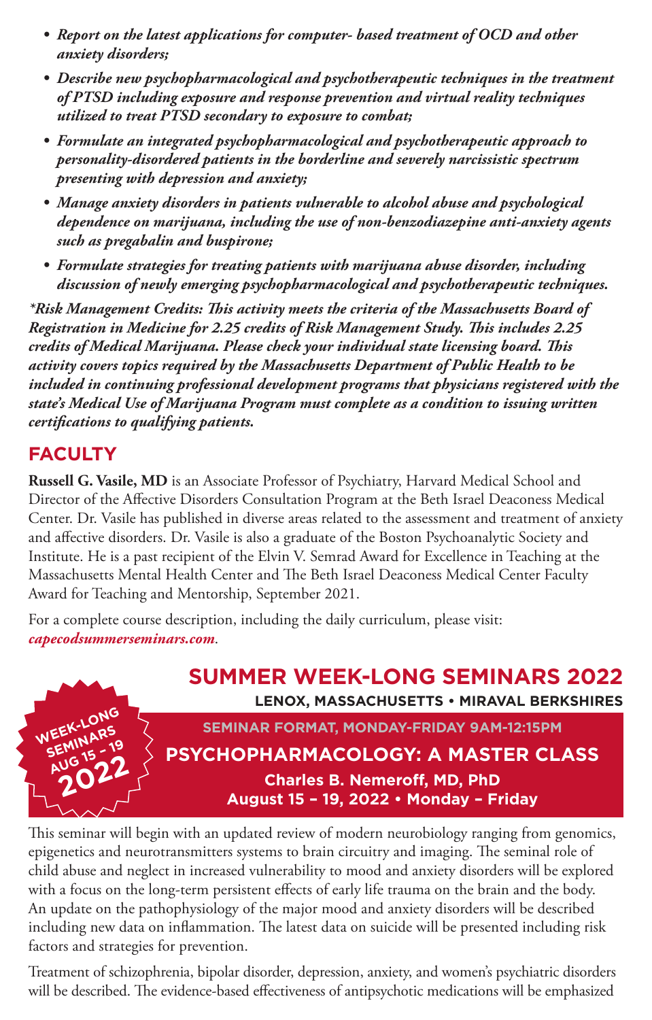- *• Report on the latest applications for computer- based treatment of OCD and other anxiety disorders;*
- *• Describe new psychopharmacological and psychotherapeutic techniques in the treatment of PTSD including exposure and response prevention and virtual reality techniques utilized to treat PTSD secondary to exposure to combat;*
- *• Formulate an integrated psychopharmacological and psychotherapeutic approach to personality-disordered patients in the borderline and severely narcissistic spectrum presenting with depression and anxiety;*
- *• Manage anxiety disorders in patients vulnerable to alcohol abuse and psychological dependence on marijuana, including the use of non-benzodiazepine anti-anxiety agents such as pregabalin and buspirone;*
- *• Formulate strategies for treating patients with marijuana abuse disorder, including discussion of newly emerging psychopharmacological and psychotherapeutic techniques.*

*\*Risk Management Credits: This activity meets the criteria of the Massachusetts Board of Registration in Medicine for 2.25 credits of Risk Management Study. This includes 2.25 credits of Medical Marijuana. Please check your individual state licensing board. This activity covers topics required by the Massachusetts Department of Public Health to be included in continuing professional development programs that physicians registered with the state's Medical Use of Marijuana Program must complete as a condition to issuing written certifications to qualifying patients.*

### **FACULTY**

**Russell G. Vasile, MD** is an Associate Professor of Psychiatry, Harvard Medical School and Director of the Affective Disorders Consultation Program at the Beth Israel Deaconess Medical Center. Dr. Vasile has published in diverse areas related to the assessment and treatment of anxiety and affective disorders. Dr. Vasile is also a graduate of the Boston Psychoanalytic Society and Institute. He is a past recipient of the Elvin V. Semrad Award for Excellence in Teaching at the Massachusetts Mental Health Center and The Beth Israel Deaconess Medical Center Faculty Award for Teaching and Mentorship, September 2021.

For a complete course description, including the daily curriculum, please visit: *capecodsummerseminars.com*.



This seminar will begin with an updated review of modern neurobiology ranging from genomics, epigenetics and neurotransmitters systems to brain circuitry and imaging. The seminal role of child abuse and neglect in increased vulnerability to mood and anxiety disorders will be explored with a focus on the long-term persistent effects of early life trauma on the brain and the body. An update on the pathophysiology of the major mood and anxiety disorders will be described including new data on inflammation. The latest data on suicide will be presented including risk factors and strategies for prevention.

Treatment of schizophrenia, bipolar disorder, depression, anxiety, and women's psychiatric disorders will be described. The evidence-based effectiveness of antipsychotic medications will be emphasized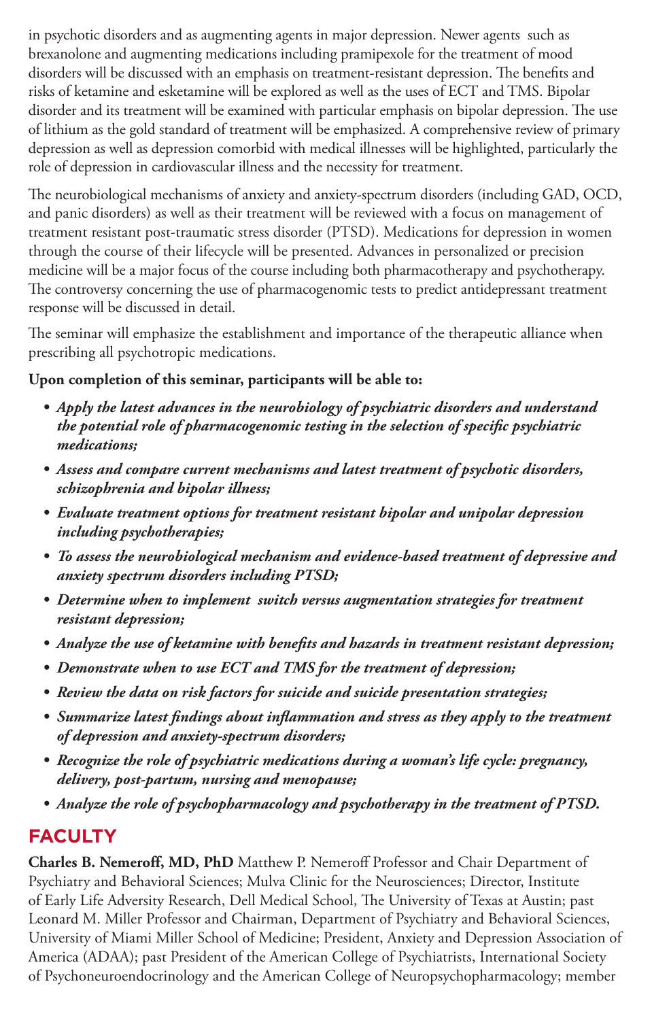in psychotic disorders and as augmenting agents in major depression. Newer agents such as brexanolone and augmenting medications including pramipexole for the treatment of mood disorders will be discussed with an emphasis on treatment-resistant depression. The benefits and risks of ketamine and esketamine will be explored as well as the uses of ECT and TMS. Bipolar disorder and its treatment will be examined with particular emphasis on bipolar depression. The use of lithium as the gold standard of treatment will be emphasized. A comprehensive review of primary depression as well as depression comorbid with medical illnesses will be highlighted, particularly the role of depression in cardiovascular illness and the necessity for treatment.

The neurobiological mechanisms of anxiety and anxiety-spectrum disorders (including GAD, OCD, and panic disorders) as well as their treatment will be reviewed with a focus on management of treatment resistant post-traumatic stress disorder (PTSD). Medications for depression in women through the course of their lifecycle will be presented. Advances in personalized or precision medicine will be a major focus of the course including both pharmacotherapy and psychotherapy. The controversy concerning the use of pharmacogenomic tests to predict antidepressant treatment response will be discussed in detail.

The seminar will emphasize the establishment and importance of the therapeutic alliance when prescribing all psychotropic medications.

### **Upon completion of this seminar, participants will be able to:**

- *• Apply the latest advances in the neurobiology of psychiatric disorders and understand the potential role of pharmacogenomic testing in the selection of specific psychiatric medications;*
- *• Assess and compare current mechanisms and latest treatment of psychotic disorders, schizophrenia and bipolar illness;*
- *• Evaluate treatment options for treatment resistant bipolar and unipolar depression including psychotherapies;*
- *• To assess the neurobiological mechanism and evidence-based treatment of depressive and anxiety spectrum disorders including PTSD;*
- *• Determine when to implement switch versus augmentation strategies for treatment resistant depression;*
- *• Analyze the use of ketamine with benefits and hazards in treatment resistant depression;*
- *• Demonstrate when to use ECT and TMS for the treatment of depression;*
- *• Review the data on risk factors for suicide and suicide presentation strategies;*
- *• Summarize latest findings about inflammation and stress as they apply to the treatment of depression and anxiety-spectrum disorders;*
- *• Recognize the role of psychiatric medications during a woman's life cycle: pregnancy, delivery, post-partum, nursing and menopause;*
- *• Analyze the role of psychopharmacology and psychotherapy in the treatment of PTSD.*

### **FACULTY**

**Charles B. Nemeroff, MD, PhD** Matthew P. Nemeroff Professor and Chair Department of Psychiatry and Behavioral Sciences; Mulva Clinic for the Neurosciences; Director, Institute of Early Life Adversity Research, Dell Medical School, The University of Texas at Austin; past Leonard M. Miller Professor and Chairman, Department of Psychiatry and Behavioral Sciences, University of Miami Miller School of Medicine; President, Anxiety and Depression Association of America (ADAA); past President of the American College of Psychiatrists, International Society of Psychoneuroendocrinology and the American College of Neuropsychopharmacology; member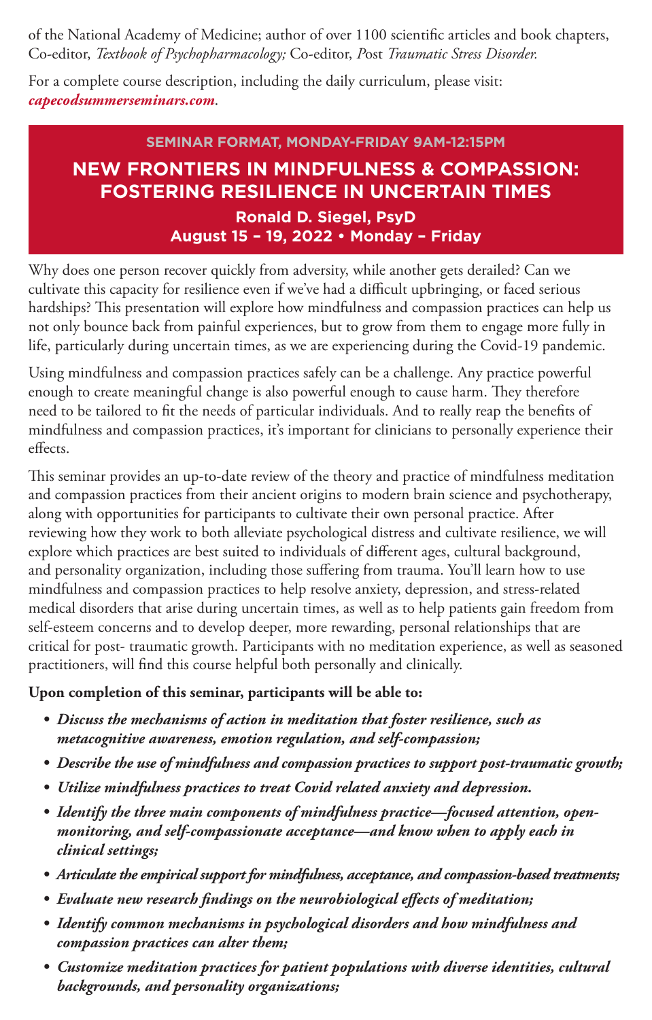of the National Academy of Medicine; author of over 1100 scientific articles and book chapters, Co-editor, *Textbook of Psychopharmacology;* Co-editor, *P*ost *Traumatic Stress Disorder.*

For a complete course description, including the daily curriculum, please visit: *capecodsummerseminars.com*.

### **SEMINAR FORMAT, MONDAY-FRIDAY 9AM-12:15PM NEW FRONTIERS IN MINDFULNESS & COMPASSION: FOSTERING RESILIENCE IN UNCERTAIN TIMES Ronald D. Siegel, PsyD August 15 – 19, 2022 • Monday – Friday**

Why does one person recover quickly from adversity, while another gets derailed? Can we cultivate this capacity for resilience even if we've had a difficult upbringing, or faced serious hardships? This presentation will explore how mindfulness and compassion practices can help us not only bounce back from painful experiences, but to grow from them to engage more fully in life, particularly during uncertain times, as we are experiencing during the Covid-19 pandemic.

Using mindfulness and compassion practices safely can be a challenge. Any practice powerful enough to create meaningful change is also powerful enough to cause harm. They therefore need to be tailored to fit the needs of particular individuals. And to really reap the benefits of mindfulness and compassion practices, it's important for clinicians to personally experience their effects.

This seminar provides an up-to-date review of the theory and practice of mindfulness meditation and compassion practices from their ancient origins to modern brain science and psychotherapy, along with opportunities for participants to cultivate their own personal practice. After reviewing how they work to both alleviate psychological distress and cultivate resilience, we will explore which practices are best suited to individuals of different ages, cultural background, and personality organization, including those suffering from trauma. You'll learn how to use mindfulness and compassion practices to help resolve anxiety, depression, and stress-related medical disorders that arise during uncertain times, as well as to help patients gain freedom from self-esteem concerns and to develop deeper, more rewarding, personal relationships that are critical for post- traumatic growth. Participants with no meditation experience, as well as seasoned practitioners, will find this course helpful both personally and clinically.

### **Upon completion of this seminar, participants will be able to:**

- *• Discuss the mechanisms of action in meditation that foster resilience, such as metacognitive awareness, emotion regulation, and self-compassion;*
- *• Describe the use of mindfulness and compassion practices to support post-traumatic growth;*
- *• Utilize mindfulness practices to treat Covid related anxiety and depression.*
- *• Identify the three main components of mindfulness practice—focused attention, openmonitoring, and self-compassionate acceptance—and know when to apply each in clinical settings;*
- *• Articulate the empirical support for mindfulness, acceptance, and compassion-based treatments;*
- *• Evaluate new research findings on the neurobiological effects of meditation;*
- *• Identify common mechanisms in psychological disorders and how mindfulness and compassion practices can alter them;*
- *• Customize meditation practices for patient populations with diverse identities, cultural backgrounds, and personality organizations;*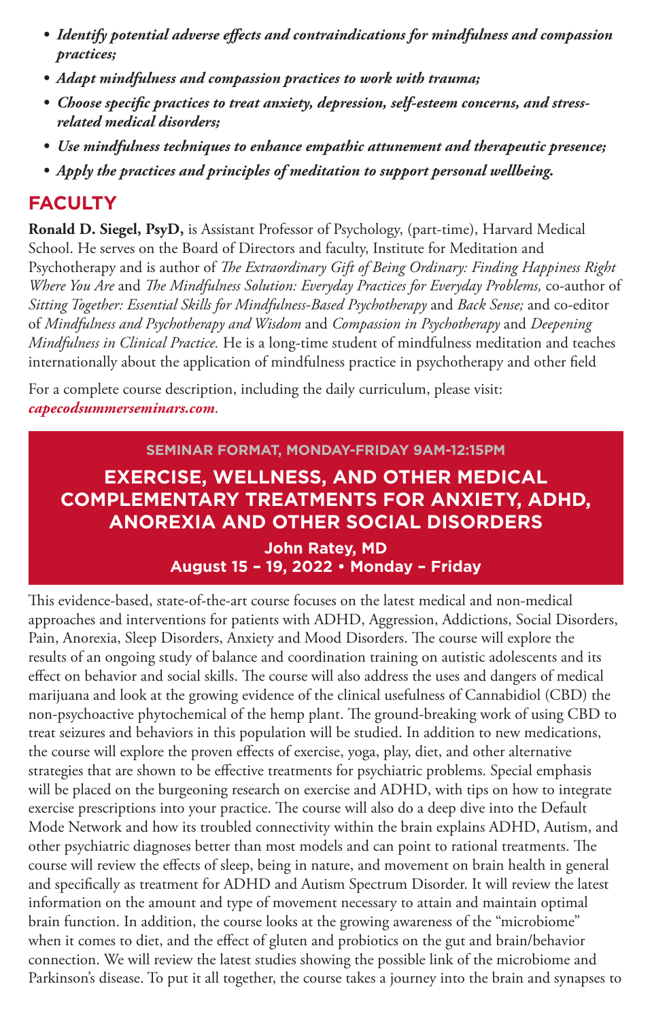- *• Identify potential adverse effects and contraindications for mindfulness and compassion practices;*
- *• Adapt mindfulness and compassion practices to work with trauma;*
- *• Choose specific practices to treat anxiety, depression, self-esteem concerns, and stressrelated medical disorders;*
- *• Use mindfulness techniques to enhance empathic attunement and therapeutic presence;*
- *• Apply the practices and principles of meditation to support personal wellbeing.*

### **FACULTY**

**Ronald D. Siegel, PsyD,** is Assistant Professor of Psychology, (part-time), Harvard Medical School. He serves on the Board of Directors and faculty, Institute for Meditation and Psychotherapy and is author of *The Extraordinary Gift of Being Ordinary: Finding Happiness Right Where You Are* and *The Mindfulness Solution: Everyday Practices for Everyday Problems,* co-author of *Sitting Together: Essential Skills for Mindfulness-Based Psychotherapy* and *Back Sense;* and co-editor of *Mindfulness and Psychotherapy and Wisdom* and *Compassion in Psychotherapy* and *Deepening Mindfulness in Clinical Practice.* He is a long-time student of mindfulness meditation and teaches internationally about the application of mindfulness practice in psychotherapy and other field

For a complete course description, including the daily curriculum, please visit: *capecodsummerseminars.com*.

### **SEMINAR FORMAT, MONDAY-FRIDAY 9AM-12:15PM EXERCISE, WELLNESS, AND OTHER MEDICAL COMPLEMENTARY TREATMENTS FOR ANXIETY, ADHD, ANOREXIA AND OTHER SOCIAL DISORDERS**

**John Ratey, MD August 15 – 19, 2022 • Monday – Friday** 

This evidence-based, state-of-the-art course focuses on the latest medical and non-medical approaches and interventions for patients with ADHD, Aggression, Addictions, Social Disorders, Pain, Anorexia, Sleep Disorders, Anxiety and Mood Disorders. The course will explore the results of an ongoing study of balance and coordination training on autistic adolescents and its effect on behavior and social skills. The course will also address the uses and dangers of medical marijuana and look at the growing evidence of the clinical usefulness of Cannabidiol (CBD) the non-psychoactive phytochemical of the hemp plant. The ground-breaking work of using CBD to treat seizures and behaviors in this population will be studied. In addition to new medications, the course will explore the proven effects of exercise, yoga, play, diet, and other alternative strategies that are shown to be effective treatments for psychiatric problems. Special emphasis will be placed on the burgeoning research on exercise and ADHD, with tips on how to integrate exercise prescriptions into your practice. The course will also do a deep dive into the Default Mode Network and how its troubled connectivity within the brain explains ADHD, Autism, and other psychiatric diagnoses better than most models and can point to rational treatments. The course will review the effects of sleep, being in nature, and movement on brain health in general and specifically as treatment for ADHD and Autism Spectrum Disorder. It will review the latest information on the amount and type of movement necessary to attain and maintain optimal brain function. In addition, the course looks at the growing awareness of the "microbiome" when it comes to diet, and the effect of gluten and probiotics on the gut and brain/behavior connection. We will review the latest studies showing the possible link of the microbiome and Parkinson's disease. To put it all together, the course takes a journey into the brain and synapses to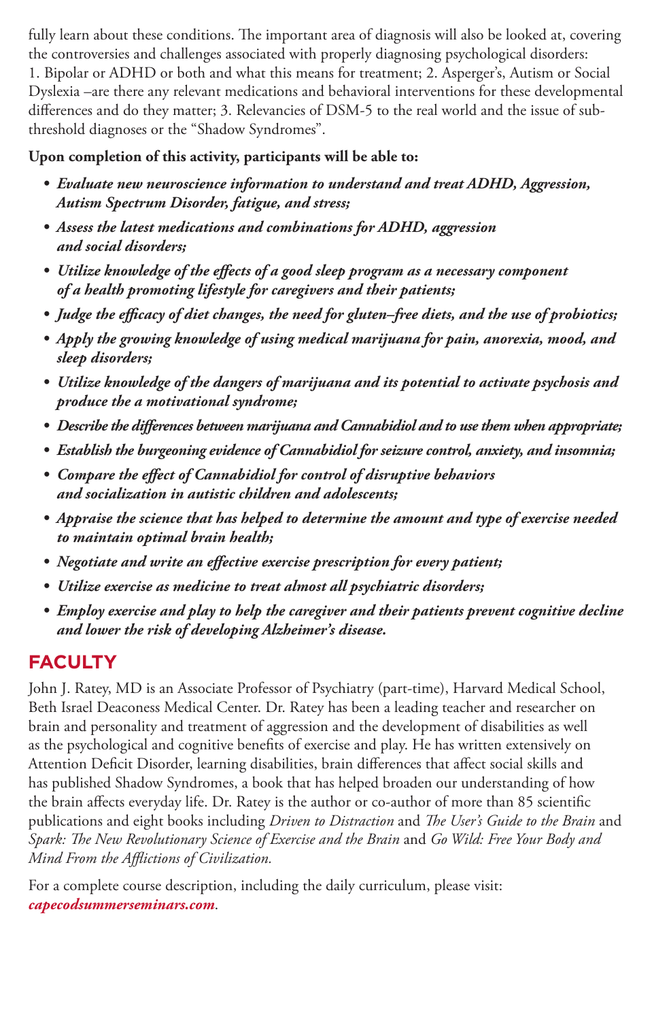fully learn about these conditions. The important area of diagnosis will also be looked at, covering the controversies and challenges associated with properly diagnosing psychological disorders: 1. Bipolar or ADHD or both and what this means for treatment; 2. Asperger's, Autism or Social Dyslexia –are there any relevant medications and behavioral interventions for these developmental differences and do they matter; 3. Relevancies of DSM-5 to the real world and the issue of subthreshold diagnoses or the "Shadow Syndromes".

### **Upon completion of this activity, participants will be able to:**

- *• Evaluate new neuroscience information to understand and treat ADHD, Aggression, Autism Spectrum Disorder, fatigue, and stress;*
- *• Assess the latest medications and combinations for ADHD, aggression and social disorders;*
- *• Utilize knowledge of the effects of a good sleep program as a necessary component of a health promoting lifestyle for caregivers and their patients;*
- *• Judge the efficacy of diet changes, the need for gluten–free diets, and the use of probiotics;*
- *• Apply the growing knowledge of using medical marijuana for pain, anorexia, mood, and sleep disorders;*
- *• Utilize knowledge of the dangers of marijuana and its potential to activate psychosis and produce the a motivational syndrome;*
- *• Describe the differences between marijuana and Cannabidiol and to use them when appropriate;*
- *• Establish the burgeoning evidence of Cannabidiol for seizure control, anxiety, and insomnia;*
- *• Compare the effect of Cannabidiol for control of disruptive behaviors and socialization in autistic children and adolescents;*
- *• Appraise the science that has helped to determine the amount and type of exercise needed to maintain optimal brain health;*
- *• Negotiate and write an effective exercise prescription for every patient;*
- *• Utilize exercise as medicine to treat almost all psychiatric disorders;*
- *• Employ exercise and play to help the caregiver and their patients prevent cognitive decline and lower the risk of developing Alzheimer's disease.*

### **FACULTY**

John J. Ratey, MD is an Associate Professor of Psychiatry (part-time), Harvard Medical School, Beth Israel Deaconess Medical Center. Dr. Ratey has been a leading teacher and researcher on brain and personality and treatment of aggression and the development of disabilities as well as the psychological and cognitive benefits of exercise and play. He has written extensively on Attention Deficit Disorder, learning disabilities, brain differences that affect social skills and has published Shadow Syndromes, a book that has helped broaden our understanding of how the brain affects everyday life. Dr. Ratey is the author or co-author of more than 85 scientific publications and eight books including *Driven to Distraction* and *The User's Guide to the Brain* and *Spark: The New Revolutionary Science of Exercise and the Brain* and *Go Wild: Free Your Body and Mind From the Afflictions of Civilization.*

For a complete course description, including the daily curriculum, please visit: *capecodsummerseminars.com*.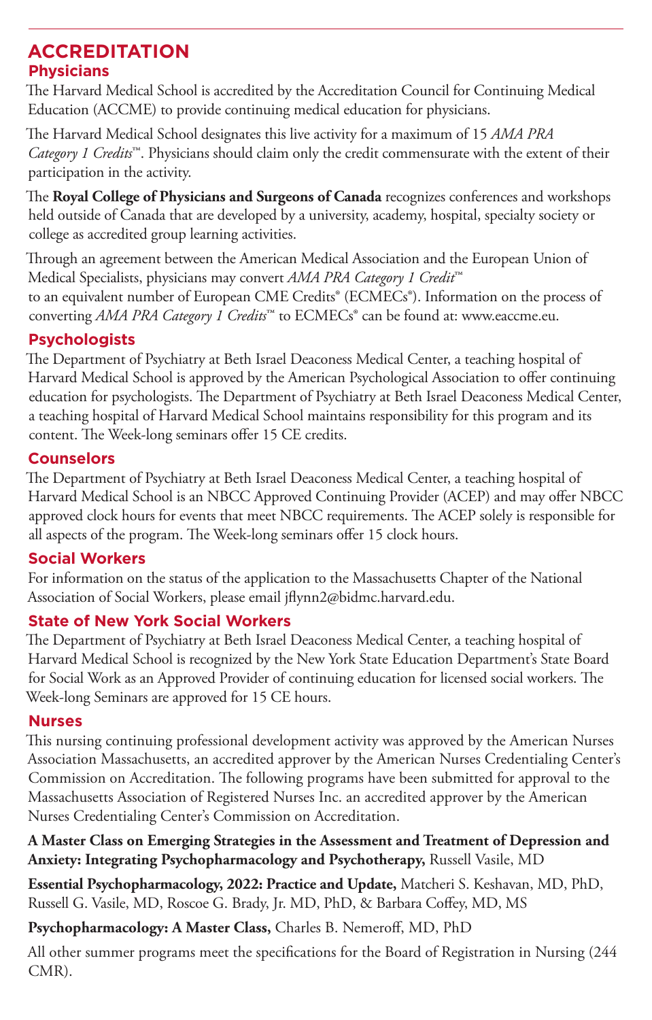### **ACCREDITATION Physicians**

The Harvard Medical School is accredited by the Accreditation Council for Continuing Medical Education (ACCME) to provide continuing medical education for physicians.

The Harvard Medical School designates this live activity for a maximum of 15 *AMA PRA Category 1 Credits*™. Physicians should claim only the credit commensurate with the extent of their participation in the activity.

The **Royal College of Physicians and Surgeons of Canada** recognizes conferences and workshops held outside of Canada that are developed by a university, academy, hospital, specialty society or college as accredited group learning activities.

Through an agreement between the American Medical Association and the European Union of Medical Specialists, physicians may convert *AMA PRA Category 1 Credit*™ to an equivalent number of European CME Credits<sup>®</sup> (ECMECs<sup>®</sup>). Information on the process of converting *AMA PRA Category 1 Credits*™ to ECMECs® can be found at: www.eaccme.eu.

### **Psychologists**

The Department of Psychiatry at Beth Israel Deaconess Medical Center, a teaching hospital of Harvard Medical School is approved by the American Psychological Association to offer continuing education for psychologists. The Department of Psychiatry at Beth Israel Deaconess Medical Center, a teaching hospital of Harvard Medical School maintains responsibility for this program and its content. The Week-long seminars offer 15 CE credits.

### **Counselors**

The Department of Psychiatry at Beth Israel Deaconess Medical Center, a teaching hospital of Harvard Medical School is an NBCC Approved Continuing Provider (ACEP) and may offer NBCC approved clock hours for events that meet NBCC requirements. The ACEP solely is responsible for all aspects of the program. The Week-long seminars offer 15 clock hours.

### **Social Workers**

For information on the status of the application to the Massachusetts Chapter of the National Association of Social Workers, please email jflynn2@bidmc.harvard.edu.

### **State of New York Social Workers**

The Department of Psychiatry at Beth Israel Deaconess Medical Center, a teaching hospital of Harvard Medical School is recognized by the New York State Education Department's State Board for Social Work as an Approved Provider of continuing education for licensed social workers. The Week-long Seminars are approved for 15 CE hours.

### **Nurses**

This nursing continuing professional development activity was approved by the American Nurses Association Massachusetts, an accredited approver by the American Nurses Credentialing Center's Commission on Accreditation. The following programs have been submitted for approval to the Massachusetts Association of Registered Nurses Inc. an accredited approver by the American Nurses Credentialing Center's Commission on Accreditation.

**A Master Class on Emerging Strategies in the Assessment and Treatment of Depression and Anxiety: Integrating Psychopharmacology and Psychotherapy,** Russell Vasile, MD

**Essential Psychopharmacology, 2022: Practice and Update,** Matcheri S. Keshavan, MD, PhD, Russell G. Vasile, MD, Roscoe G. Brady, Jr. MD, PhD, & Barbara Coffey, MD, MS

**Psychopharmacology: A Master Class,** Charles B. Nemeroff, MD, PhD

All other summer programs meet the specifications for the Board of Registration in Nursing (244 CMR).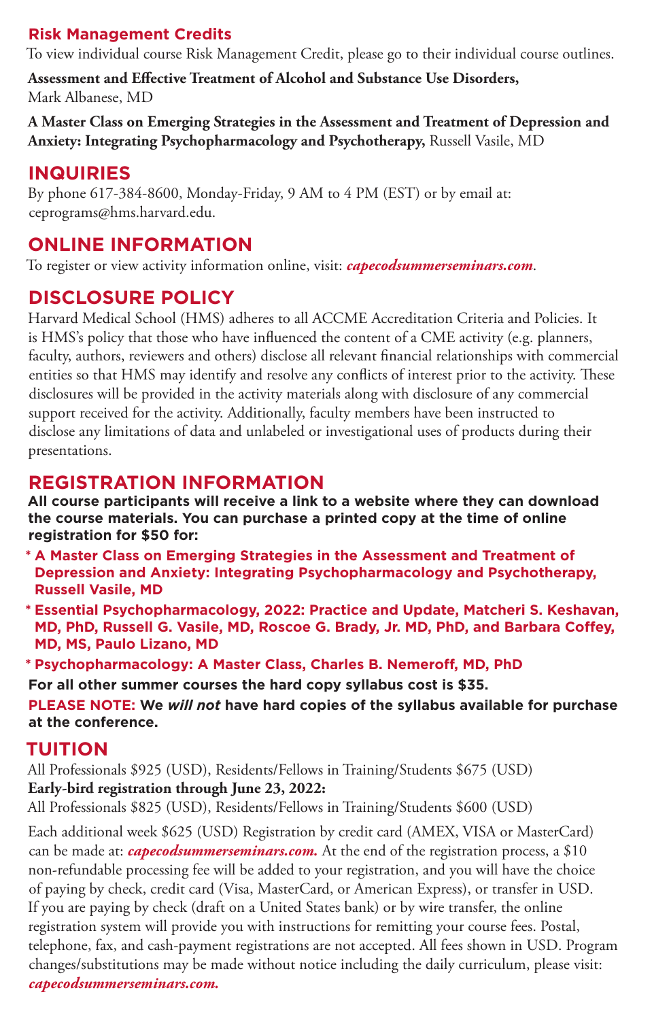### **Risk Management Credits**

To view individual course Risk Management Credit, please go to their individual course outlines.

**Assessment and Effective Treatment of Alcohol and Substance Use Disorders,** Mark Albanese, MD

**A Master Class on Emerging Strategies in the Assessment and Treatment of Depression and Anxiety: Integrating Psychopharmacology and Psychotherapy,** Russell Vasile, MD

### **INQUIRIES**

By phone 617-384-8600, Monday-Friday, 9 AM to 4 PM (EST) or by email at: ceprograms@hms.harvard.edu.

### **ONLINE INFORMATION**

To register or view activity information online, visit: *capecodsummerseminars.com*.

### **DISCLOSURE POLICY**

Harvard Medical School (HMS) adheres to all ACCME Accreditation Criteria and Policies. It is HMS's policy that those who have influenced the content of a CME activity (e.g. planners, faculty, authors, reviewers and others) disclose all relevant financial relationships with commercial entities so that HMS may identify and resolve any conflicts of interest prior to the activity. These disclosures will be provided in the activity materials along with disclosure of any commercial support received for the activity. Additionally, faculty members have been instructed to disclose any limitations of data and unlabeled or investigational uses of products during their presentations.

### **REGISTRATION INFORMATION**

**All course participants will receive a link to a website where they can download the course materials. You can purchase a printed copy at the time of online registration for \$50 for:**

- **\* A Master Class on Emerging Strategies in the Assessment and Treatment of Depression and Anxiety: Integrating Psychopharmacology and Psychotherapy, Russell Vasile, MD**
- **\* Essential Psychopharmacology, 2022: Practice and Update, Matcheri S. Keshavan, MD, PhD, Russell G. Vasile, MD, Roscoe G. Brady, Jr. MD, PhD, and Barbara Coffey, MD, MS, Paulo Lizano, MD**

**\* Psychopharmacology: A Master Class, Charles B. Nemeroff, MD, PhD**

**For all other summer courses the hard copy syllabus cost is \$35.**

**PLEASE NOTE: We** *will not* **have hard copies of the syllabus available for purchase at the conference.**

### **TUITION**

All Professionals \$925 (USD), Residents/Fellows in Training/Students \$675 (USD) **Early-bird registration through June 23, 2022:**

All Professionals \$825 (USD), Residents/Fellows in Training/Students \$600 (USD)

Each additional week \$625 (USD) Registration by credit card (AMEX, VISA or MasterCard) can be made at: *capecodsummerseminars.com.* At the end of the registration process, a \$10 non-refundable processing fee will be added to your registration, and you will have the choice of paying by check, credit card (Visa, MasterCard, or American Express), or transfer in USD. If you are paying by check (draft on a United States bank) or by wire transfer, the online registration system will provide you with instructions for remitting your course fees. Postal, telephone, fax, and cash-payment registrations are not accepted. All fees shown in USD. Program changes/substitutions may be made without notice including the daily curriculum, please visit: *capecodsummerseminars.com.*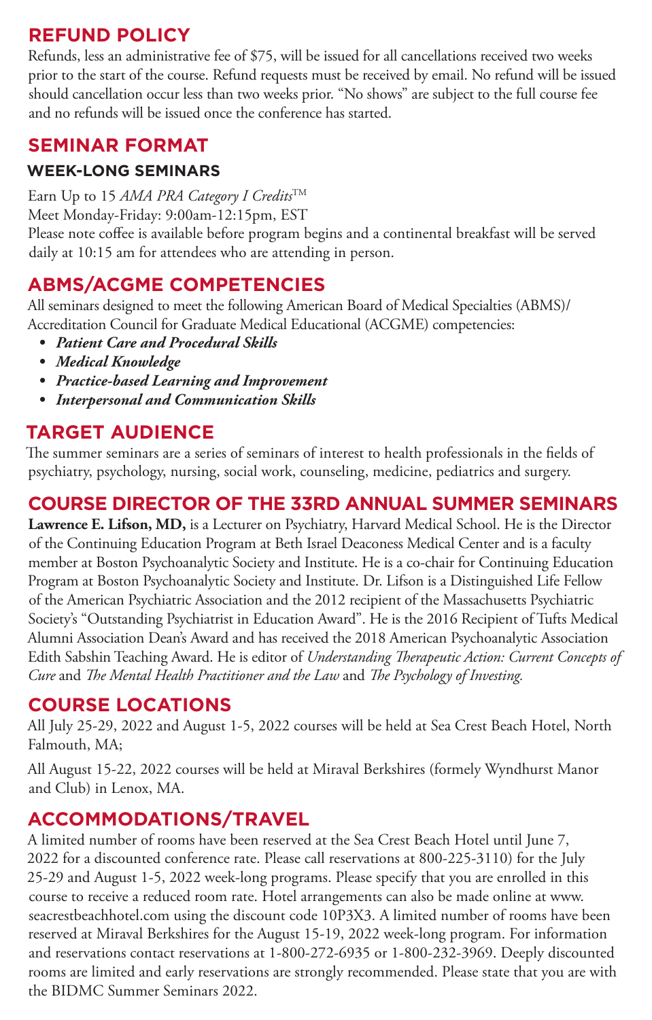### **REFUND POLICY**

Refunds, less an administrative fee of \$75, will be issued for all cancellations received two weeks prior to the start of the course. Refund requests must be received by email. No refund will be issued should cancellation occur less than two weeks prior. "No shows" are subject to the full course fee and no refunds will be issued once the conference has started.

### **SEMINAR FORMAT**

### **WEEK-LONG SEMINARS**

Earn Up to 15 *AMA PRA Category I Credits*TM

Meet Monday-Friday: 9:00am-12:15pm, EST

Please note coffee is available before program begins and a continental breakfast will be served daily at 10:15 am for attendees who are attending in person.

### **ABMS/ACGME COMPETENCIES**

All seminars designed to meet the following American Board of Medical Specialties (ABMS)/ Accreditation Council for Graduate Medical Educational (ACGME) competencies:

- *• Patient Care and Procedural Skills*
- *• Medical Knowledge*
- *• Practice-based Learning and Improvement*
- *• Interpersonal and Communication Skills*

### **TARGET AUDIENCE**

The summer seminars are a series of seminars of interest to health professionals in the fields of psychiatry, psychology, nursing, social work, counseling, medicine, pediatrics and surgery.

### **COURSE DIRECTOR OF THE 33RD ANNUAL SUMMER SEMINARS**

**Lawrence E. Lifson, MD,** is a Lecturer on Psychiatry, Harvard Medical School. He is the Director of the Continuing Education Program at Beth Israel Deaconess Medical Center and is a faculty member at Boston Psychoanalytic Society and Institute. He is a co-chair for Continuing Education Program at Boston Psychoanalytic Society and Institute. Dr. Lifson is a Distinguished Life Fellow of the American Psychiatric Association and the 2012 recipient of the Massachusetts Psychiatric Society's "Outstanding Psychiatrist in Education Award". He is the 2016 Recipient of Tufts Medical Alumni Association Dean's Award and has received the 2018 American Psychoanalytic Association Edith Sabshin Teaching Award. He is editor of *Understanding Therapeutic Action: Current Concepts of Cure* and *The Mental Health Practitioner and the Law* and *The Psychology of Investing.*

### **COURSE LOCATIONS**

All July 25-29, 2022 and August 1-5, 2022 courses will be held at Sea Crest Beach Hotel, North Falmouth, MA;

All August 15-22, 2022 courses will be held at Miraval Berkshires (formely Wyndhurst Manor and Club) in Lenox, MA.

### **ACCOMMODATIONS/TRAVEL**

A limited number of rooms have been reserved at the Sea Crest Beach Hotel until June 7, 2022 for a discounted conference rate. Please call reservations at 800-225-3110) for the July 25-29 and August 1-5, 2022 week-long programs. Please specify that you are enrolled in this course to receive a reduced room rate. Hotel arrangements can also be made online at www. seacrestbeachhotel.com using the discount code 10P3X3. A limited number of rooms have been reserved at Miraval Berkshires for the August 15-19, 2022 week-long program. For information and reservations contact reservations at 1-800-272-6935 or 1-800-232-3969. Deeply discounted rooms are limited and early reservations are strongly recommended. Please state that you are with the BIDMC Summer Seminars 2022.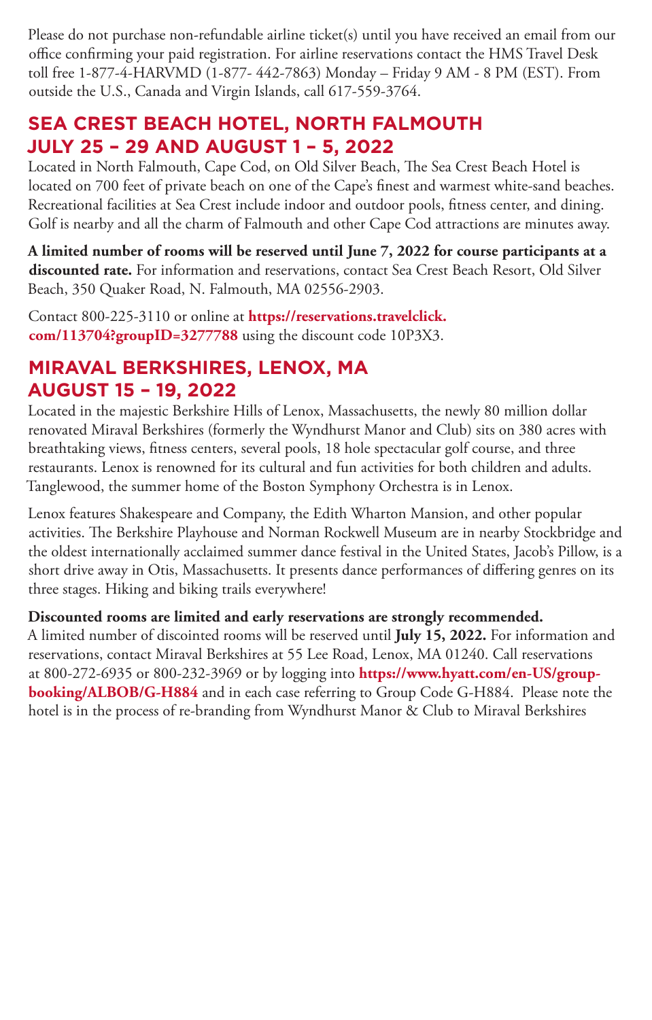Please do not purchase non-refundable airline ticket(s) until you have received an email from our office confirming your paid registration. For airline reservations contact the HMS Travel Desk toll free 1-877-4-HARVMD (1-877- 442-7863) Monday – Friday 9 AM - 8 PM (EST). From outside the U.S., Canada and Virgin Islands, call 617-559-3764.

### **SEA CREST BEACH HOTEL, NORTH FALMOUTH JULY 25 – 29 AND AUGUST 1 – 5, 2022**

Located in North Falmouth, Cape Cod, on Old Silver Beach, The Sea Crest Beach Hotel is located on 700 feet of private beach on one of the Cape's finest and warmest white-sand beaches. Recreational facilities at Sea Crest include indoor and outdoor pools, fitness center, and dining. Golf is nearby and all the charm of Falmouth and other Cape Cod attractions are minutes away.

**A limited number of rooms will be reserved until June 7, 2022 for course participants at a discounted rate.** For information and reservations, contact Sea Crest Beach Resort, Old Silver Beach, 350 Quaker Road, N. Falmouth, MA 02556-2903.

Contact 800-225-3110 or online at **https://reservations.travelclick. com/113704?groupID=3277788** using the discount code 10P3X3.

### **MIRAVAL BERKSHIRES, LENOX, MA AUGUST 15 – 19, 2022**

Located in the majestic Berkshire Hills of Lenox, Massachusetts, the newly 80 million dollar renovated Miraval Berkshires (formerly the Wyndhurst Manor and Club) sits on 380 acres with breathtaking views, fitness centers, several pools, 18 hole spectacular golf course, and three restaurants. Lenox is renowned for its cultural and fun activities for both children and adults. Tanglewood, the summer home of the Boston Symphony Orchestra is in Lenox.

Lenox features Shakespeare and Company, the Edith Wharton Mansion, and other popular activities. The Berkshire Playhouse and Norman Rockwell Museum are in nearby Stockbridge and the oldest internationally acclaimed summer dance festival in the United States, Jacob's Pillow, is a short drive away in Otis, Massachusetts. It presents dance performances of differing genres on its three stages. Hiking and biking trails everywhere!

**Discounted rooms are limited and early reservations are strongly recommended.** A limited number of discointed rooms will be reserved until **July 15, 2022.** For information and reservations, contact Miraval Berkshires at 55 Lee Road, Lenox, MA 01240. Call reservations at 800-272-6935 or 800-232-3969 or by logging into **https://www.hyatt.com/en-US/groupbooking/ALBOB/G-H884** and in each case referring to Group Code G-H884. Please note the hotel is in the process of re-branding from Wyndhurst Manor & Club to Miraval Berkshires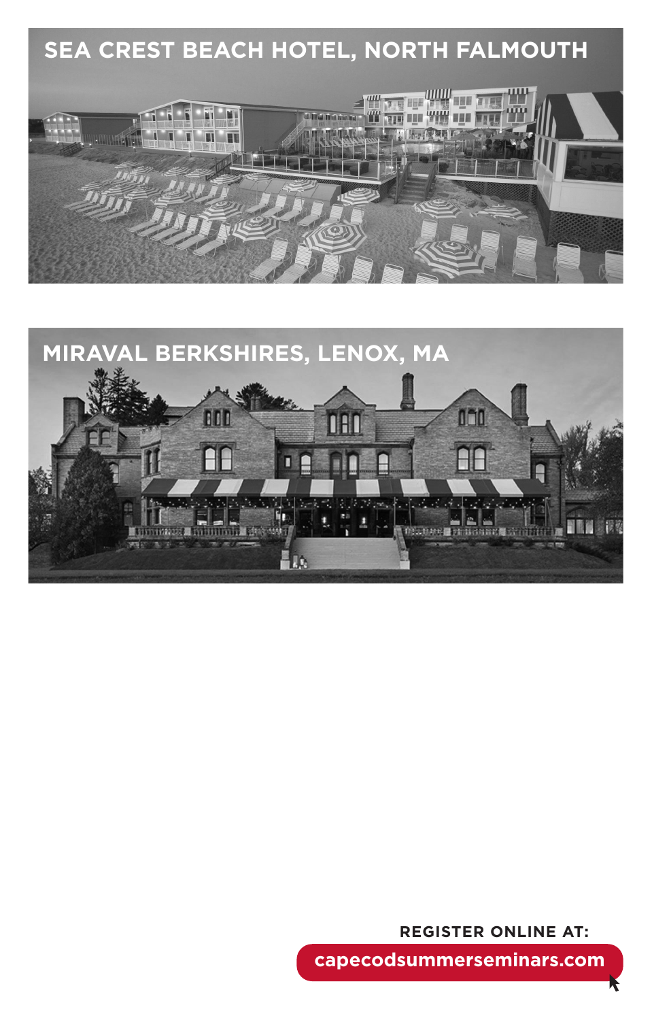



**REGISTER ONLINE AT:**

**capecodsummerseminars.com**